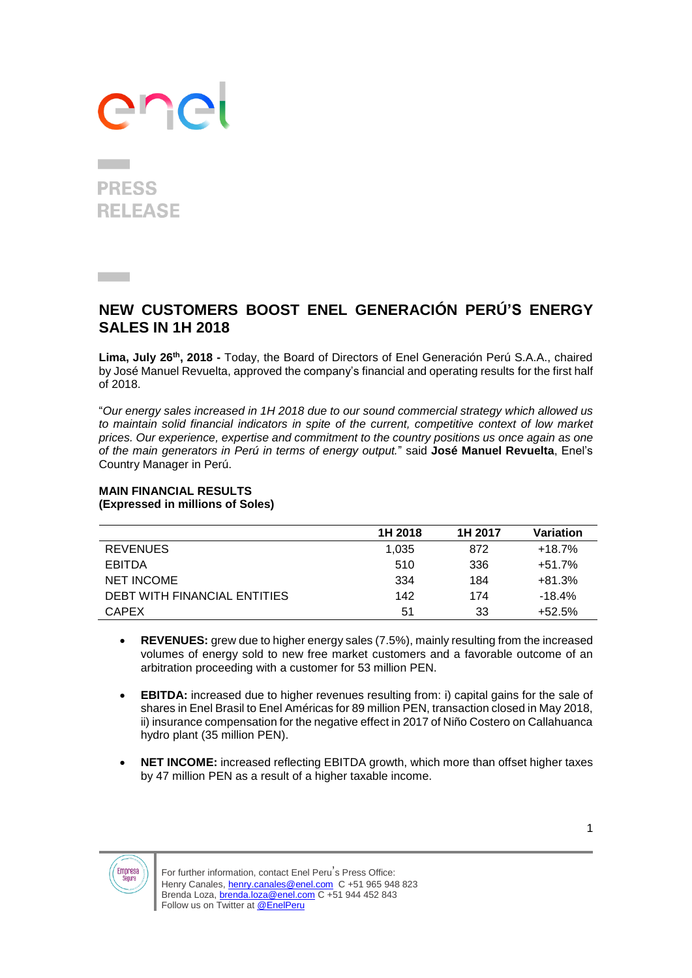# ane

### **PRESS RELEASE**

**Contract** 

### **NEW CUSTOMERS BOOST ENEL GENERACIÓN PERÚ'S ENERGY SALES IN 1H 2018**

**Lima, July 26th, 2018 -** Today, the Board of Directors of Enel Generación Perú S.A.A., chaired by José Manuel Revuelta, approved the company's financial and operating results for the first half of 2018.

"*Our energy sales increased in 1H 2018 due to our sound commercial strategy which allowed us to maintain solid financial indicators in spite of the current, competitive context of low market prices. Our experience, expertise and commitment to the country positions us once again as one of the main generators in Perú in terms of energy output.*" said **José Manuel Revuelta**, Enel's Country Manager in Perú.

#### **MAIN FINANCIAL RESULTS (Expressed in millions of Soles)**

|                              | 1H 2018 | 1H 2017 | Variation |
|------------------------------|---------|---------|-----------|
| <b>REVENUES</b>              | 1.035   | 872     | $+18.7%$  |
| <b>EBITDA</b>                | 510     | 336     | $+51.7%$  |
| <b>NET INCOME</b>            | 334     | 184     | $+81.3%$  |
| DEBT WITH FINANCIAL ENTITIES | 142     | 174     | $-18.4%$  |
| <b>CAPEX</b>                 | 51      | 33      | $+52.5%$  |

- **REVENUES:** grew due to higher energy sales (7.5%), mainly resulting from the increased volumes of energy sold to new free market customers and a favorable outcome of an arbitration proceeding with a customer for 53 million PEN.
- **EBITDA:** increased due to higher revenues resulting from: i) capital gains for the sale of shares in Enel Brasil to Enel Américas for 89 million PEN, transaction closed in May 2018, ii) insurance compensation for the negative effect in 2017 of Niño Costero on Callahuanca hydro plant (35 million PEN).
- **NET INCOME:** increased reflecting EBITDA growth, which more than offset higher taxes by 47 million PEN as a result of a higher taxable income.